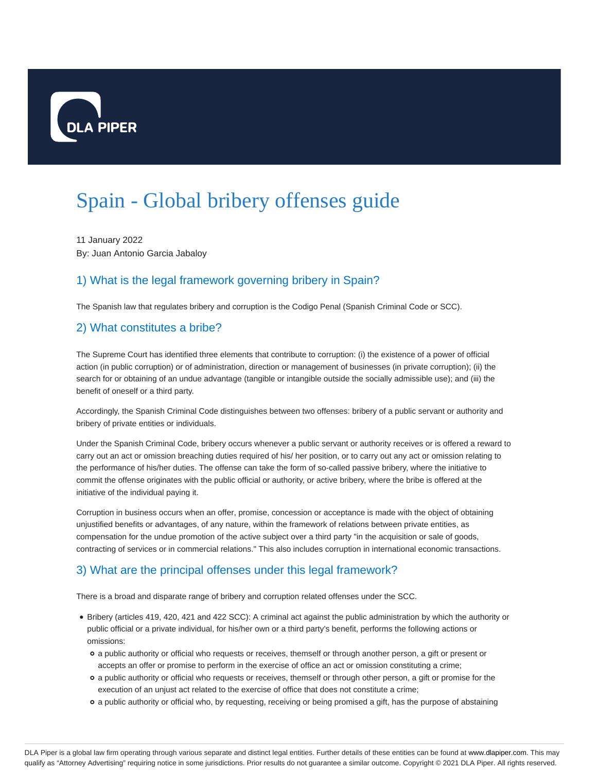

# Spain - Global bribery offenses guide

11 January 2022 By: Juan Antonio Garcia Jabaloy

# 1) What is the legal framework governing bribery in Spain?

The Spanish law that regulates bribery and corruption is the Codigo Penal (Spanish Criminal Code or SCC).

#### 2) What constitutes a bribe?

The Supreme Court has identified three elements that contribute to corruption: (i) the existence of a power of official action (in public corruption) or of administration, direction or management of businesses (in private corruption); (ii) the search for or obtaining of an undue advantage (tangible or intangible outside the socially admissible use); and (iii) the benefit of oneself or a third party.

Accordingly, the Spanish Criminal Code distinguishes between two offenses: bribery of a public servant or authority and bribery of private entities or individuals.

Under the Spanish Criminal Code, bribery occurs whenever a public servant or authority receives or is offered a reward to carry out an act or omission breaching duties required of his/ her position, or to carry out any act or omission relating to the performance of his/her duties. The offense can take the form of so-called passive bribery, where the initiative to commit the offense originates with the public official or authority, or active bribery, where the bribe is offered at the initiative of the individual paying it.

Corruption in business occurs when an offer, promise, concession or acceptance is made with the object of obtaining unjustified benefits or advantages, of any nature, within the framework of relations between private entities, as compensation for the undue promotion of the active subject over a third party "in the acquisition or sale of goods, contracting of services or in commercial relations." This also includes corruption in international economic transactions.

# 3) What are the principal offenses under this legal framework?

There is a broad and disparate range of bribery and corruption related offenses under the SCC.

- Bribery (articles 419, 420, 421 and 422 SCC): A criminal act against the public administration by which the authority or public official or a private individual, for his/her own or a third party's benefit, performs the following actions or omissions:
	- a public authority or official who requests or receives, themself or through another person, a gift or present or accepts an offer or promise to perform in the exercise of office an act or omission constituting a crime;
	- a public authority or official who requests or receives, themself or through other person, a gift or promise for the execution of an unjust act related to the exercise of office that does not constitute a crime;
	- a public authority or official who, by requesting, receiving or being promised a gift, has the purpose of abstaining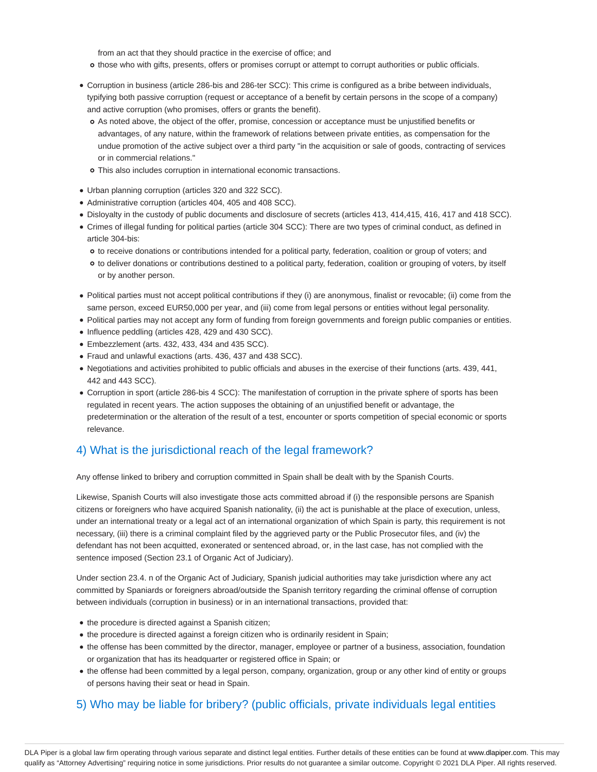from an act that they should practice in the exercise of office; and

- o those who with gifts, presents, offers or promises corrupt or attempt to corrupt authorities or public officials.
- Corruption in business (article 286-bis and 286-ter SCC): This crime is configured as a bribe between individuals, typifying both passive corruption (request or acceptance of a benefit by certain persons in the scope of a company) and active corruption (who promises, offers or grants the benefit).
	- As noted above, the object of the offer, promise, concession or acceptance must be unjustified benefits or advantages, of any nature, within the framework of relations between private entities, as compensation for the undue promotion of the active subject over a third party "in the acquisition or sale of goods, contracting of services or in commercial relations."
	- This also includes corruption in international economic transactions.
- Urban planning corruption (articles 320 and 322 SCC).
- Administrative corruption (articles 404, 405 and 408 SCC).
- Disloyalty in the custody of public documents and disclosure of secrets (articles 413, 414,415, 416, 417 and 418 SCC).
- Crimes of illegal funding for political parties (article 304 SCC): There are two types of criminal conduct, as defined in article 304-bis:
	- to receive donations or contributions intended for a political party, federation, coalition or group of voters; and
	- o to deliver donations or contributions destined to a political party, federation, coalition or grouping of voters, by itself or by another person.
- Political parties must not accept political contributions if they (i) are anonymous, finalist or revocable; (ii) come from the same person, exceed EUR50,000 per year, and (iii) come from legal persons or entities without legal personality.
- Political parties may not accept any form of funding from foreign governments and foreign public companies or entities.
- Influence peddling (articles 428, 429 and 430 SCC).
- Embezzlement (arts. 432, 433, 434 and 435 SCC).
- Fraud and unlawful exactions (arts. 436, 437 and 438 SCC).
- Negotiations and activities prohibited to public officials and abuses in the exercise of their functions (arts. 439, 441, 442 and 443 SCC).
- Corruption in sport (article 286-bis 4 SCC): The manifestation of corruption in the private sphere of sports has been regulated in recent years. The action supposes the obtaining of an unjustified benefit or advantage, the predetermination or the alteration of the result of a test, encounter or sports competition of special economic or sports relevance.

#### 4) What is the jurisdictional reach of the legal framework?

Any offense linked to bribery and corruption committed in Spain shall be dealt with by the Spanish Courts.

Likewise, Spanish Courts will also investigate those acts committed abroad if (i) the responsible persons are Spanish citizens or foreigners who have acquired Spanish nationality, (ii) the act is punishable at the place of execution, unless, under an international treaty or a legal act of an international organization of which Spain is party, this requirement is not necessary, (iii) there is a criminal complaint filed by the aggrieved party or the Public Prosecutor files, and (iv) the defendant has not been acquitted, exonerated or sentenced abroad, or, in the last case, has not complied with the sentence imposed (Section 23.1 of Organic Act of Judiciary).

Under section 23.4. n of the Organic Act of Judiciary, Spanish judicial authorities may take jurisdiction where any act committed by Spaniards or foreigners abroad/outside the Spanish territory regarding the criminal offense of corruption between individuals (corruption in business) or in an international transactions, provided that:

- the procedure is directed against a Spanish citizen;
- the procedure is directed against a foreign citizen who is ordinarily resident in Spain;
- the offense has been committed by the director, manager, employee or partner of a business, association, foundation or organization that has its headquarter or registered office in Spain; or
- the offense had been committed by a legal person, company, organization, group or any other kind of entity or groups of persons having their seat or head in Spain.

#### 5) Who may be liable for bribery? (public officials, private individuals legal entities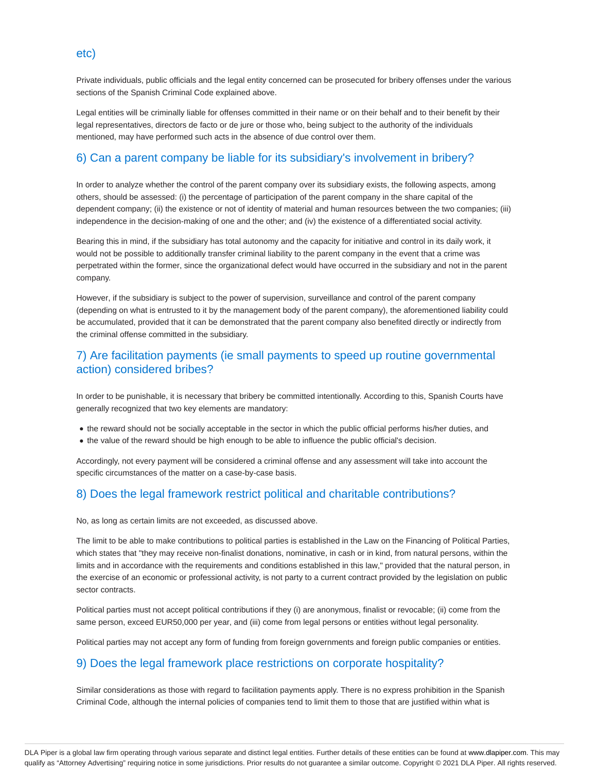Private individuals, public officials and the legal entity concerned can be prosecuted for bribery offenses under the various sections of the Spanish Criminal Code explained above.

Legal entities will be criminally liable for offenses committed in their name or on their behalf and to their benefit by their legal representatives, directors de facto or de jure or those who, being subject to the authority of the individuals mentioned, may have performed such acts in the absence of due control over them.

#### 6) Can a parent company be liable for its subsidiary's involvement in bribery?

In order to analyze whether the control of the parent company over its subsidiary exists, the following aspects, among others, should be assessed: (i) the percentage of participation of the parent company in the share capital of the dependent company; (ii) the existence or not of identity of material and human resources between the two companies; (iii) independence in the decision-making of one and the other; and (iv) the existence of a differentiated social activity.

Bearing this in mind, if the subsidiary has total autonomy and the capacity for initiative and control in its daily work, it would not be possible to additionally transfer criminal liability to the parent company in the event that a crime was perpetrated within the former, since the organizational defect would have occurred in the subsidiary and not in the parent company.

However, if the subsidiary is subject to the power of supervision, surveillance and control of the parent company (depending on what is entrusted to it by the management body of the parent company), the aforementioned liability could be accumulated, provided that it can be demonstrated that the parent company also benefited directly or indirectly from the criminal offense committed in the subsidiary.

#### 7) Are facilitation payments (ie small payments to speed up routine governmental action) considered bribes?

In order to be punishable, it is necessary that bribery be committed intentionally. According to this, Spanish Courts have generally recognized that two key elements are mandatory:

- the reward should not be socially acceptable in the sector in which the public official performs his/her duties, and
- the value of the reward should be high enough to be able to influence the public official's decision.

Accordingly, not every payment will be considered a criminal offense and any assessment will take into account the specific circumstances of the matter on a case-by-case basis.

# 8) Does the legal framework restrict political and charitable contributions?

No, as long as certain limits are not exceeded, as discussed above.

The limit to be able to make contributions to political parties is established in the Law on the Financing of Political Parties, which states that "they may receive non-finalist donations, nominative, in cash or in kind, from natural persons, within the limits and in accordance with the requirements and conditions established in this law," provided that the natural person, in the exercise of an economic or professional activity, is not party to a current contract provided by the legislation on public sector contracts.

Political parties must not accept political contributions if they (i) are anonymous, finalist or revocable; (ii) come from the same person, exceed EUR50,000 per year, and (iii) come from legal persons or entities without legal personality.

Political parties may not accept any form of funding from foreign governments and foreign public companies or entities.

#### 9) Does the legal framework place restrictions on corporate hospitality?

Similar considerations as those with regard to facilitation payments apply. There is no express prohibition in the Spanish Criminal Code, although the internal policies of companies tend to limit them to those that are justified within what is

#### etc)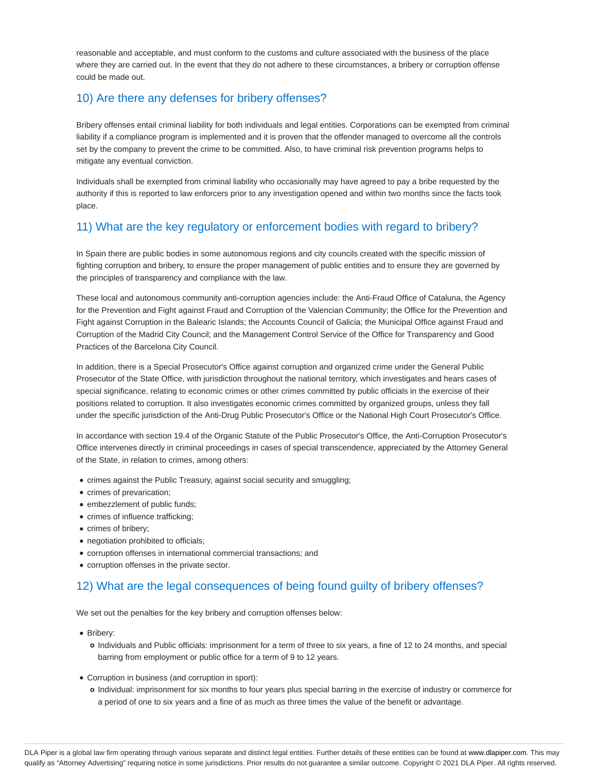reasonable and acceptable, and must conform to the customs and culture associated with the business of the place where they are carried out. In the event that they do not adhere to these circumstances, a bribery or corruption offense could be made out.

### 10) Are there any defenses for bribery offenses?

Bribery offenses entail criminal liability for both individuals and legal entities. Corporations can be exempted from criminal liability if a compliance program is implemented and it is proven that the offender managed to overcome all the controls set by the company to prevent the crime to be committed. Also, to have criminal risk prevention programs helps to mitigate any eventual conviction.

Individuals shall be exempted from criminal liability who occasionally may have agreed to pay a bribe requested by the authority if this is reported to law enforcers prior to any investigation opened and within two months since the facts took place.

# 11) What are the key regulatory or enforcement bodies with regard to bribery?

In Spain there are public bodies in some autonomous regions and city councils created with the specific mission of fighting corruption and bribery, to ensure the proper management of public entities and to ensure they are governed by the principles of transparency and compliance with the law.

These local and autonomous community anti-corruption agencies include: the Anti-Fraud Office of Cataluna, the Agency for the Prevention and Fight against Fraud and Corruption of the Valencian Community; the Office for the Prevention and Fight against Corruption in the Balearic Islands; the Accounts Council of Galicia; the Municipal Office against Fraud and Corruption of the Madrid City Council; and the Management Control Service of the Office for Transparency and Good Practices of the Barcelona City Council.

In addition, there is a Special Prosecutor's Office against corruption and organized crime under the General Public Prosecutor of the State Office, with jurisdiction throughout the national territory, which investigates and hears cases of special significance, relating to economic crimes or other crimes committed by public officials in the exercise of their positions related to corruption. It also investigates economic crimes committed by organized groups, unless they fall under the specific jurisdiction of the Anti-Drug Public Prosecutor's Office or the National High Court Prosecutor's Office.

In accordance with section 19.4 of the Organic Statute of the Public Prosecutor's Office, the Anti-Corruption Prosecutor's Office intervenes directly in criminal proceedings in cases of special transcendence, appreciated by the Attorney General of the State, in relation to crimes, among others:

- crimes against the Public Treasury, against social security and smuggling;
- crimes of prevarication;
- embezzlement of public funds;
- crimes of influence trafficking;
- crimes of bribery;
- negotiation prohibited to officials;
- corruption offenses in international commercial transactions; and
- corruption offenses in the private sector.

# 12) What are the legal consequences of being found guilty of bribery offenses?

We set out the penalties for the key bribery and corruption offenses below:

- Bribery:
	- Individuals and Public officials: imprisonment for a term of three to six years, a fine of 12 to 24 months, and special barring from employment or public office for a term of 9 to 12 years.
- Corruption in business (and corruption in sport):
	- Individual: imprisonment for six months to four years plus special barring in the exercise of industry or commerce for a period of one to six years and a fine of as much as three times the value of the benefit or advantage.